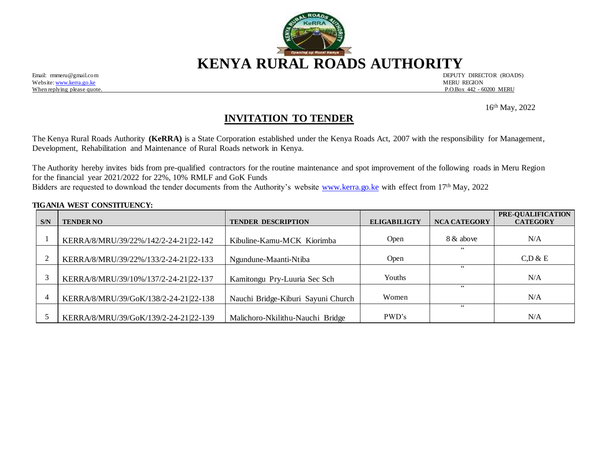

Website[: www.kerra.go.ke](http://www.kerra.go.ke/) MERU REGION

Email: rmmeru@gmail.com DEPUTY DIRECTOR (ROADS) When replying please quote. P.O.Box 442 - 60200 MERU

 16 16<sup>th</sup> May, 2022

# **INVITATION TO TENDER**

The Kenya Rural Roads Authority **(KeRRA)** is a State Corporation established under the Kenya Roads Act, 2007 with the responsibility for Management, Development, Rehabilitation and Maintenance of Rural Roads network in Kenya.

The Authority hereby invites bids from pre-qualified contractors for the routine maintenance and spot improvement of the following roads in Meru Region for the financial year 2021/2022 for 22%, 10% RMLF and GoK Funds Bidders are requested to download the tender documents from the Authority's website [www.kerra.go.ke](http://www.kerra.go.ke/) with effect from 17<sup>th</sup> May, 2022

#### **TIGANIA WEST CONSTITUENCY:**

| S/N                      | <b>TENDER NO</b>                      | <b>TENDER DESCRIPTION</b>          | <b>ELIGABILIGTY</b> | <b>NCA CATEGORY</b> | PRE-QUALIFICATION<br><b>CATEGORY</b> |
|--------------------------|---------------------------------------|------------------------------------|---------------------|---------------------|--------------------------------------|
|                          |                                       |                                    |                     |                     |                                      |
|                          | KERRA/8/MRU/39/22%/142/2-24-21 22-142 | Kibuline-Kamu-MCK Kiorimba         | Open                | 8 & above           | N/A                                  |
|                          |                                       |                                    |                     | 66                  |                                      |
|                          | KERRA/8/MRU/39/22%/133/2-24-21 22-133 | Ngundune-Maanti-Ntiba              | Open                |                     | C, D & E                             |
|                          |                                       |                                    |                     | 66                  |                                      |
|                          | KERRA/8/MRU/39/10%/137/2-24-21 22-137 | Kamitongu Pry-Luuria Sec Sch       | Youths              |                     | N/A                                  |
|                          |                                       |                                    |                     | 66                  |                                      |
| $\overline{\mathcal{L}}$ | KERRA/8/MRU/39/GoK/138/2-24-21 22-138 | Nauchi Bridge-Kiburi Sayuni Church | Women               |                     | N/A                                  |
|                          |                                       |                                    |                     | 66                  |                                      |
|                          | KERRA/8/MRU/39/GoK/139/2-24-21 22-139 | Malichoro-Nkilithu-Nauchi Bridge   | PWD's               |                     | N/A                                  |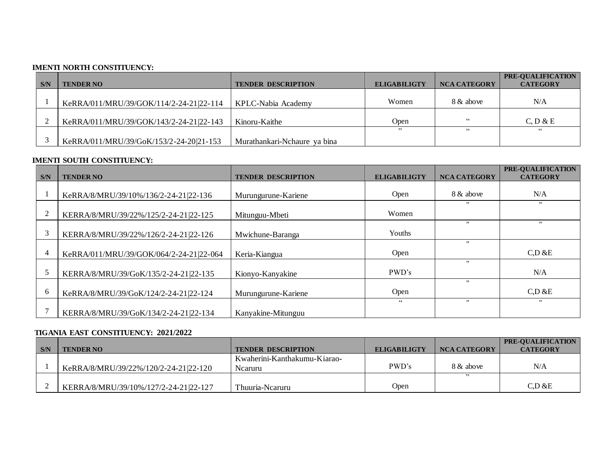### **IMENTI NORTH CONSTITUENCY:**

| S/N | <b>TENDER NO</b>                        | <b>TENDER DESCRIPTION</b>    | <b>ELIGABILIGTY</b> | <b>NCA CATEGORY</b> | <b>PRE-OUALIFICATION</b><br><b>CATEGORY</b> |
|-----|-----------------------------------------|------------------------------|---------------------|---------------------|---------------------------------------------|
|     |                                         |                              |                     |                     |                                             |
|     | KeRRA/011/MRU/39/GOK/114/2-24-21 22-114 | KPLC-Nabia Academy           | Women               | 8 & above           | N/A                                         |
|     |                                         |                              |                     |                     |                                             |
|     | KeRRA/011/MRU/39/GOK/143/2-24-21 22-143 | Kinoru-Kaithe                | Open                | 66                  | C, D & E                                    |
|     |                                         |                              | ,,                  | 66                  | 66                                          |
|     | KeRRA/011/MRU/39/GoK/153/2-24-20 21-153 | Murathankari-Nchaure ya bina |                     |                     |                                             |

### **IMENTI SOUTH CONSTITUENCY:**

|     |                                         |                           |                     |                     | PRE-QUALIFICATION     |
|-----|-----------------------------------------|---------------------------|---------------------|---------------------|-----------------------|
| S/N | <b>TENDER NO</b>                        | <b>TENDER DESCRIPTION</b> | <b>ELIGABILIGTY</b> | <b>NCA CATEGORY</b> | <b>CATEGORY</b>       |
|     |                                         |                           |                     |                     |                       |
|     | KeRRA/8/MRU/39/10%/136/2-24-21 22-136   | Murungurune-Kariene       | Open                | 8 & above           | N/A                   |
|     |                                         |                           |                     | $^{\prime\prime}$   | $\mathbf{H}$          |
|     | KERRA/8/MRU/39/22%/125/2-24-21 22-125   | Mitunguu-Mbeti            | Women               |                     |                       |
|     |                                         |                           |                     | $^{\prime\prime}$   | $^{\prime}$           |
|     | KERRA/8/MRU/39/22%/126/2-24-21 22-126   | Mwichune-Baranga          | Youths              |                     |                       |
|     |                                         |                           |                     |                     |                       |
| 4   | KeRRA/011/MRU/39/GOK/064/2-24-21 22-064 | Keria-Kiangua             | Open                |                     | $C$ <sub>D</sub> $&E$ |
|     |                                         |                           |                     | $^{\prime\prime}$   |                       |
|     | KERRA/8/MRU/39/GoK/135/2-24-21 22-135   | Kionyo-Kanyakine          | PWD's               |                     | N/A                   |
|     |                                         |                           |                     | $\cdot$             |                       |
| h   | KeRRA/8/MRU/39/GoK/124/2-24-21 22-124   | Murungurune-Kariene       | Open                |                     | $C$ <sub>D</sub> $&E$ |
|     |                                         |                           | 66                  | $^{\prime}$         | $\mathbf{H}$          |
|     | KERRA/8/MRU/39/GoK/134/2-24-21 22-134   | Kanyakine-Mitunguu        |                     |                     |                       |

#### **TIGANIA EAST CONSTITUENCY: 2021/2022**

|     |                                       |                              |                     |              | <b>PRE-OUALIFICATION</b> |
|-----|---------------------------------------|------------------------------|---------------------|--------------|--------------------------|
| S/N | <b>TENDER NO</b>                      | <b>TENDER DESCRIPTION</b>    | <b>ELIGABILIGTY</b> | NCA CATEGORY | <b>CATEGORY</b>          |
|     |                                       | Kwaherini-Kanthakumu-Kiarao- |                     |              |                          |
|     | KeRRA/8/MRU/39/22%/120/2-24-21 22-120 | Nearuru                      | PWD's               | 8 & above    | N/A                      |
|     |                                       |                              |                     | ,,           |                          |
|     | KERRA/8/MRU/39/10%/127/2-24-21 22-127 | Thuuria-Nearuru              | Open                |              | C, D & E                 |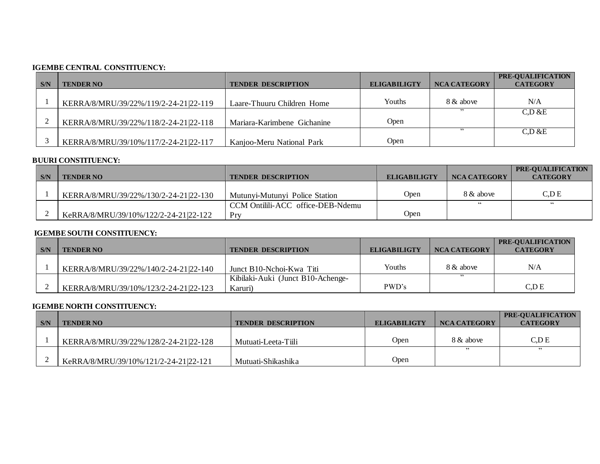### **IGEMBE CENTRAL CONSTITUENCY:**

|     |                                       |                             |                     |                     | PRE-OUALIFICATION |
|-----|---------------------------------------|-----------------------------|---------------------|---------------------|-------------------|
| S/N | <b>TENDER NO</b>                      | <b>TENDER DESCRIPTION</b>   | <b>ELIGABILIGTY</b> | <b>NCA CATEGORY</b> | <b>CATEGORY</b>   |
|     |                                       |                             |                     |                     |                   |
|     | KERRA/8/MRU/39/22%/119/2-24-21 22-119 | Laare-Thuuru Children Home  | Youths              | 8 & above           | N/A               |
|     |                                       |                             |                     |                     | C.D & E           |
|     | KERRA/8/MRU/39/22%/118/2-24-21 22-118 | Mariara-Karimbene Gichanine | Open                |                     |                   |
|     |                                       |                             |                     |                     | C.D & E           |
|     | KERRA/8/MRU/39/10%/117/2-24-21 22-117 | Kanjoo-Meru National Park   | Open                |                     |                   |

### **BUURI CONSTITUENCY:**

|     |                                       |                                   |                     |                     | <b>PRE-OUALIFICATION</b> |
|-----|---------------------------------------|-----------------------------------|---------------------|---------------------|--------------------------|
| S/N | <b>TENDER NO</b>                      | <b>TENDER DESCRIPTION</b>         | <b>ELIGABILIGTY</b> | <b>NCA CATEGORY</b> | <b>CATEGORY</b>          |
|     |                                       |                                   |                     |                     |                          |
|     | KERRA/8/MRU/39/22%/130/2-24-21 22-130 | Mutunyi-Mutunyi Police Station    | Open                | 8 & above           | C.D E                    |
|     |                                       | CCM Ontilili-ACC office-DEB-Ndemu |                     | 66                  | 66                       |
|     | KeRRA/8/MRU/39/10%/122/2-24-21 22-122 | Prv                               | Open                |                     |                          |

# **IGEMBESOUTH CONSTITUENCY:**

|     |                                       |                                   |                     |              | <b>PRE-OUALIFICATION</b> |
|-----|---------------------------------------|-----------------------------------|---------------------|--------------|--------------------------|
| S/N | <b>TENDER NO</b>                      | <b>TENDER DESCRIPTION</b>         | <b>ELIGABILIGTY</b> | NCA CATEGORY | <b>CATEGORY</b>          |
|     |                                       |                                   |                     |              |                          |
|     | KERRA/8/MRU/39/22%/140/2-24-21 22-140 | Junct B10-Nchoi-Kwa Titi          | Youths              | 8 & above    | N/A                      |
|     |                                       | Kibilaki-Auki (Junct B10-Achenge- |                     | ,,           |                          |
|     | KERRA/8/MRU/39/10%/123/2-24-21 22-123 | Karuri)                           | PWD's               |              | C.D E                    |

## **IGEMBE NORTH CONSTITUENCY:**

|     |                                       |                           |                     |              | <b>PRE-OUALIFICATION</b> |
|-----|---------------------------------------|---------------------------|---------------------|--------------|--------------------------|
| S/N | <b>TENDER NO</b>                      | <b>TENDER DESCRIPTION</b> | <b>ELIGABILIGTY</b> | NCA CATEGORY | <b>CATEGORY</b>          |
|     |                                       |                           |                     |              |                          |
|     | KERRA/8/MRU/39/22%/128/2-24-21 22-128 | Mutuati-Leeta-Tiili       | Open                | 8 & above    | C,D E                    |
|     |                                       |                           |                     |              | ,,                       |
|     | KeRRA/8/MRU/39/10%/121/2-24-21 22-121 | Mutuati-Shikashika        | Open                |              |                          |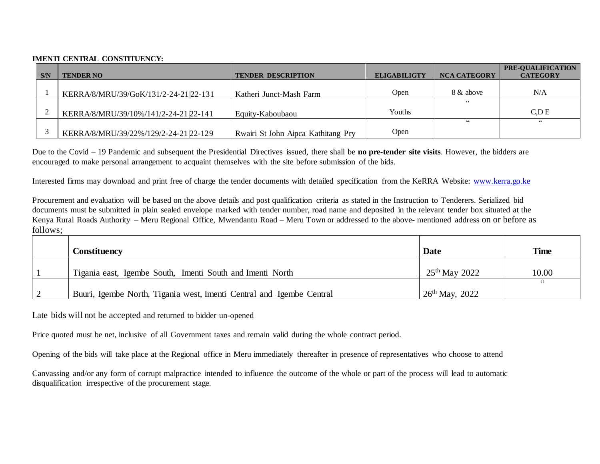#### **IMENTI CENTRAL CONSTITUENCY:**

| S/N | <b>TENDER NO</b>                      | <b>TENDER DESCRIPTION</b>          | <b>ELIGABILIGTY</b> | <b>NCA CATEGORY</b> | PRE-OUALIFICATION<br><b>CATEGORY</b> |
|-----|---------------------------------------|------------------------------------|---------------------|---------------------|--------------------------------------|
|     |                                       |                                    |                     |                     |                                      |
|     | KERRA/8/MRU/39/GoK/131/2-24-21 22-131 | Katheri Junct-Mash Farm            | Open                | 8 & above           | N/A                                  |
|     |                                       |                                    |                     |                     |                                      |
|     | KERRA/8/MRU/39/10%/141/2-24-21 22-141 | Equity-Kaboubaou                   | Youths              |                     | C.D E                                |
|     |                                       |                                    |                     | 66                  | 66                                   |
|     | KERRA/8/MRU/39/22%/129/2-24-21 22-129 | Rwairi St John Aipca Kathitang Pry | Open                |                     |                                      |

Due to the Covid – 19 Pandemic and subsequent the Presidential Directives issued, there shall be **no pre-tender site visits**. However, the bidders are encouraged to make personal arrangement to acquaint themselves with the site before submission of the bids.

Interested firms may download and print free of charge the tender documents with detailed specification from the KeRRA Website: [www.kerra.go.ke](http://www.kerra.go.ke/)

Procurement and evaluation will be based on the above details and post qualification criteria as stated in the Instruction to Tenderers. Serialized bid documents must be submitted in plain sealed envelope marked with tender number, road name and deposited in the relevant tender box situated at the Kenya Rural Roads Authority – Meru Regional Office, Mwendantu Road – Meru Town or addressed to the above- mentioned address on or before as follows;

| Constituency                                                         | Date             | <b>Time</b> |
|----------------------------------------------------------------------|------------------|-------------|
| Tigania east, Igembe South, Imenti South and Imenti North            | $25th$ May 2022  | 10.00       |
| Buuri, Igembe North, Tigania west, Imenti Central and Igembe Central | $26th$ May, 2022 | 66          |

Late bids will not be accepted and returned to bidder un-opened

Price quoted must be net, inclusive of all Government taxes and remain valid during the whole contract period.

Opening of the bids will take place at the Regional office in Meru immediately thereafter in presence of representatives who choose to attend

Canvassing and/or any form of corrupt malpractice intended to influence the outcome of the whole or part of the process will lead to automatic disqualification irrespective of the procurement stage.